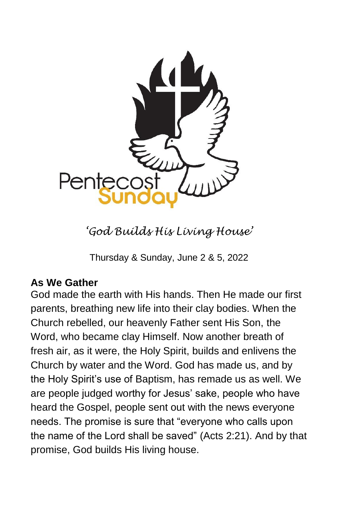

*'God Builds His Living House'*

Thursday & Sunday, June 2 & 5, 2022

# **As We Gather**

God made the earth with His hands. Then He made our first parents, breathing new life into their clay bodies. When the Church rebelled, our heavenly Father sent His Son, the Word, who became clay Himself. Now another breath of fresh air, as it were, the Holy Spirit, builds and enlivens the Church by water and the Word. God has made us, and by the Holy Spirit's use of Baptism, has remade us as well. We are people judged worthy for Jesus' sake, people who have heard the Gospel, people sent out with the news everyone needs. The promise is sure that "everyone who calls upon the name of the Lord shall be saved" (Acts 2:21). And by that promise, God builds His living house.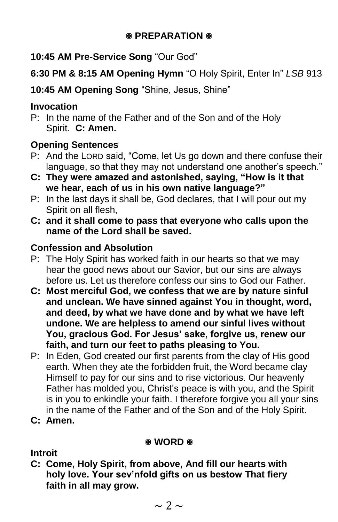## **图 PREPARATION 图**

**10:45 AM Pre-Service Song** "Our God"

**6:30 PM & 8:15 AM Opening Hymn** "O Holy Spirit, Enter In" *LSB* 913

**10:45 AM Opening Song** "Shine, Jesus, Shine"

# **Invocation**

P: In the name of the Father and of the Son and of the Holy Spirit. **C: Amen.**

# **Opening Sentences**

- P: And the LORD said, "Come, let Us go down and there confuse their language, so that they may not understand one another's speech."
- **C: They were amazed and astonished, saying, "How is it that we hear, each of us in his own native language?"**
- P: In the last days it shall be, God declares, that I will pour out my Spirit on all flesh,
- **C: and it shall come to pass that everyone who calls upon the name of the Lord shall be saved.**

# **Confession and Absolution**

- P: The Holy Spirit has worked faith in our hearts so that we may hear the good news about our Savior, but our sins are always before us. Let us therefore confess our sins to God our Father.
- **C: Most merciful God, we confess that we are by nature sinful and unclean. We have sinned against You in thought, word, and deed, by what we have done and by what we have left undone. We are helpless to amend our sinful lives without You, gracious God. For Jesus' sake, forgive us, renew our faith, and turn our feet to paths pleasing to You.**
- P: In Eden, God created our first parents from the clay of His good earth. When they ate the forbidden fruit, the Word became clay Himself to pay for our sins and to rise victorious. Our heavenly Father has molded you, Christ's peace is with you, and the Spirit is in you to enkindle your faith. I therefore forgive you all your sins in the name of the Father and of the Son and of the Holy Spirit.
- **C: Amen.**

## **WORD &**

**Introit**

**C: Come, Holy Spirit, from above, And fill our hearts with holy love. Your sev'nfold gifts on us bestow That fiery faith in all may grow.**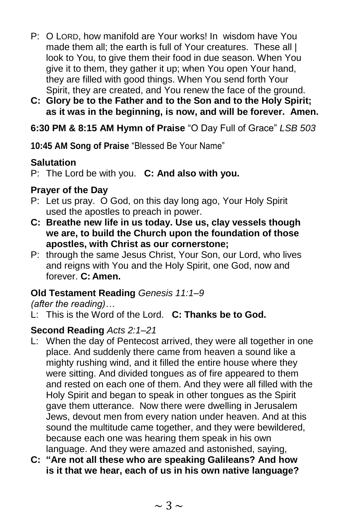- P: O LORD, how manifold are Your works! In wisdom have You made them all; the earth is full of Your creatures. These all I look to You, to give them their food in due season. When You give it to them, they gather it up; when You open Your hand, they are filled with good things. When You send forth Your Spirit, they are created, and You renew the face of the ground.
- **C: Glory be to the Father and to the Son and to the Holy Spirit; as it was in the beginning, is now, and will be forever. Amen.**

# **6:30 PM & 8:15 AM Hymn of Praise** "O Day Full of Grace" *LSB 503*

**10:45 AM Song of Praise** "Blessed Be Your Name"

## **Salutation**

P: The Lord be with you. **C: And also with you.**

# **Prayer of the Day**

- P: Let us pray. O God, on this day long ago, Your Holy Spirit used the apostles to preach in power.
- **C: Breathe new life in us today. Use us, clay vessels though we are, to build the Church upon the foundation of those apostles, with Christ as our cornerstone;**
- P: through the same Jesus Christ, Your Son, our Lord, who lives and reigns with You and the Holy Spirit, one God, now and forever. **C: Amen.**

# **Old Testament Reading** *Genesis 11:1–9*

*(after the reading)…*

L: This is the Word of the Lord. **C: Thanks be to God.**

# **Second Reading** *Acts 2:1–21*

- L: When the day of Pentecost arrived, they were all together in one place. And suddenly there came from heaven a sound like a mighty rushing wind, and it filled the entire house where they were sitting. And divided tongues as of fire appeared to them and rested on each one of them. And they were all filled with the Holy Spirit and began to speak in other tongues as the Spirit gave them utterance. Now there were dwelling in Jerusalem Jews, devout men from every nation under heaven. And at this sound the multitude came together, and they were bewildered, because each one was hearing them speak in his own language. And they were amazed and astonished, saying,
- **C: "Are not all these who are speaking Galileans? And how is it that we hear, each of us in his own native language?**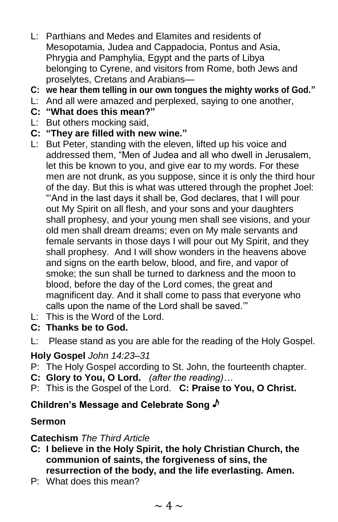- L: Parthians and Medes and Elamites and residents of Mesopotamia, Judea and Cappadocia, Pontus and Asia, Phrygia and Pamphylia, Egypt and the parts of Libya belonging to Cyrene, and visitors from Rome, both Jews and proselytes, Cretans and Arabians—
- **C: we hear them telling in our own tongues the mighty works of God."**
- L: And all were amazed and perplexed, saying to one another,
- **C: "What does this mean?"**
- L: But others mocking said,
- **C: "They are filled with new wine."**
- L: But Peter, standing with the eleven, lifted up his voice and addressed them, "Men of Judea and all who dwell in Jerusalem, let this be known to you, and give ear to my words. For these men are not drunk, as you suppose, since it is only the third hour of the day. But this is what was uttered through the prophet Joel: "'And in the last days it shall be, God declares, that I will pour out My Spirit on all flesh, and your sons and your daughters shall prophesy, and your young men shall see visions, and your old men shall dream dreams; even on My male servants and female servants in those days I will pour out My Spirit, and they shall prophesy. And I will show wonders in the heavens above and signs on the earth below, blood, and fire, and vapor of smoke; the sun shall be turned to darkness and the moon to blood, before the day of the Lord comes, the great and magnificent day. And it shall come to pass that everyone who calls upon the name of the Lord shall be saved.'"
- $L$ : This is the Word of the Lord.
- **C: Thanks be to God.**
- L: Please stand as you are able for the reading of the Holy Gospel.

#### **Holy Gospel** *John 14:23–31*

- P: The Holy Gospel according to St. John, the fourteenth chapter.
- **C: Glory to You, O Lord.** *(after the reading)…*
- P: This is the Gospel of the Lord. **C: Praise to You, O Christ.**

## **Children's Message and Celebrate Song**

## **Sermon**

#### **Catechism** *The Third Article*

- **C: I believe in the Holy Spirit, the holy Christian Church, the communion of saints, the forgiveness of sins, the resurrection of the body, and the life everlasting. Amen.**
- P: What does this mean?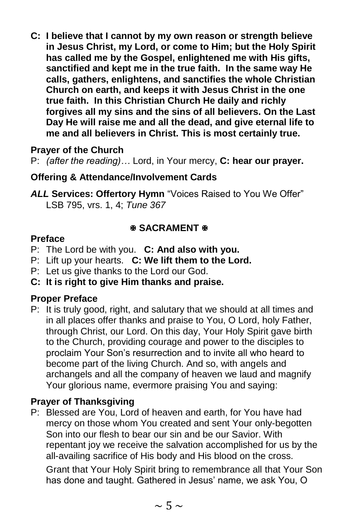**C: I believe that I cannot by my own reason or strength believe in Jesus Christ, my Lord, or come to Him; but the Holy Spirit has called me by the Gospel, enlightened me with His gifts, sanctified and kept me in the true faith. In the same way He calls, gathers, enlightens, and sanctifies the whole Christian Church on earth, and keeps it with Jesus Christ in the one true faith. In this Christian Church He daily and richly forgives all my sins and the sins of all believers. On the Last Day He will raise me and all the dead, and give eternal life to me and all believers in Christ. This is most certainly true.**

# **Prayer of the Church**

P: *(after the reading)…* Lord, in Your mercy, **C: hear our prayer.**

## **Offering & Attendance/Involvement Cards**

*ALL* **Services: Offertory Hymn** "Voices Raised to You We Offer" LSB 795, vrs. 1, 4; *Tune 367*

## **SACRAMENT &**

#### **Preface**

- P: The Lord be with you. **C: And also with you.**
- P: Lift up your hearts. **C: We lift them to the Lord.**
- P: Let us give thanks to the Lord our God.
- **C: It is right to give Him thanks and praise.**

## **Proper Preface**

P: It is truly good, right, and salutary that we should at all times and in all places offer thanks and praise to You, O Lord, holy Father, through Christ, our Lord. On this day, Your Holy Spirit gave birth to the Church, providing courage and power to the disciples to proclaim Your Son's resurrection and to invite all who heard to become part of the living Church. And so, with angels and archangels and all the company of heaven we laud and magnify Your glorious name, evermore praising You and saying:

## **Prayer of Thanksgiving**

P: Blessed are You, Lord of heaven and earth, for You have had mercy on those whom You created and sent Your only-begotten Son into our flesh to bear our sin and be our Savior. With repentant joy we receive the salvation accomplished for us by the all-availing sacrifice of His body and His blood on the cross.

Grant that Your Holy Spirit bring to remembrance all that Your Son has done and taught. Gathered in Jesus' name, we ask You, O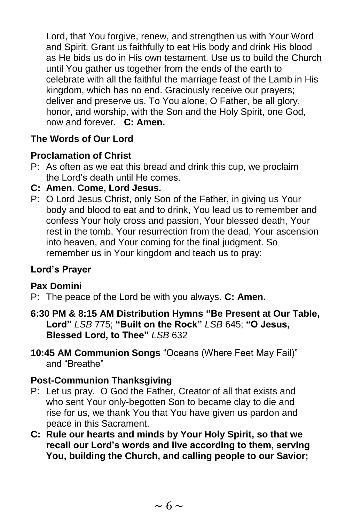Lord, that You forgive, renew, and strengthen us with Your Word and Spirit. Grant us faithfully to eat His body and drink His blood as He bids us do in His own testament. Use us to build the Church until You gather us together from the ends of the earth to celebrate with all the faithful the marriage feast of the Lamb in His kingdom, which has no end. Graciously receive our prayers; deliver and preserve us. To You alone, O Father, be all glory, honor, and worship, with the Son and the Holy Spirit, one God, now and forever. **C: Amen.**

# **The Words of Our Lord**

## **Proclamation of Christ**

- P: As often as we eat this bread and drink this cup, we proclaim the Lord's death until He comes.
- **C: Amen. Come, Lord Jesus.**
- P: O Lord Jesus Christ, only Son of the Father, in giving us Your body and blood to eat and to drink, You lead us to remember and confess Your holy cross and passion, Your blessed death, Your rest in the tomb, Your resurrection from the dead, Your ascension into heaven, and Your coming for the final judgment. So remember us in Your kingdom and teach us to pray:

## **Lord's Prayer**

#### **Pax Domini**

- P: The peace of the Lord be with you always. **C: Amen.**
- **6:30 PM & 8:15 AM Distribution Hymns "Be Present at Our Table, Lord"** *LSB* 775; **"Built on the Rock"** *LSB* 645; **"O Jesus, Blessed Lord, to Thee"** *LSB* 632
- **10:45 AM Communion Songs** "Oceans (Where Feet May Fail)" and "Breathe"

#### **Post-Communion Thanksgiving**

- P: Let us pray. O God the Father, Creator of all that exists and who sent Your only-begotten Son to became clay to die and rise for us, we thank You that You have given us pardon and peace in this Sacrament.
- **C: Rule our hearts and minds by Your Holy Spirit, so that we recall our Lord's words and live according to them, serving You, building the Church, and calling people to our Savior;**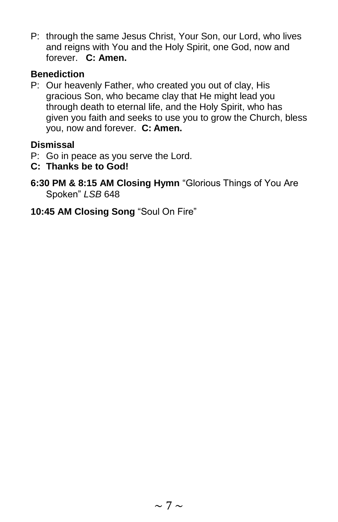P: through the same Jesus Christ, Your Son, our Lord, who lives and reigns with You and the Holy Spirit, one God, now and forever. **C: Amen.**

## **Benediction**

P: Our heavenly Father, who created you out of clay, His gracious Son, who became clay that He might lead you through death to eternal life, and the Holy Spirit, who has given you faith and seeks to use you to grow the Church, bless you, now and forever. **C: Amen.**

## **Dismissal**

- P: Go in peace as you serve the Lord.
- **C: Thanks be to God!**
- **6:30 PM & 8:15 AM Closing Hymn** "Glorious Things of You Are Spoken" *LSB* 648
- **10:45 AM Closing Song** "Soul On Fire"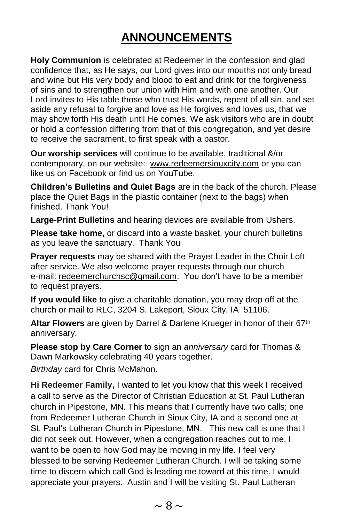# **ANNOUNCEMENTS**

**Holy Communion** is celebrated at Redeemer in the confession and glad confidence that, as He says, our Lord gives into our mouths not only bread and wine but His very body and blood to eat and drink for the forgiveness of sins and to strengthen our union with Him and with one another. Our Lord invites to His table those who trust His words, repent of all sin, and set aside any refusal to forgive and love as He forgives and loves us, that we may show forth His death until He comes. We ask visitors who are in doubt or hold a confession differing from that of this congregation, and yet desire to receive the sacrament, to first speak with a pastor.

**Our worship services** will continue to be available, traditional &/or contemporary, on our website: [www.redeemersiouxcity.com](http://www.redeemersiouxcity.com/) or you can like us on Facebook or find us on YouTube.

**Children's Bulletins and Quiet Bags** are in the back of the church. Please place the Quiet Bags in the plastic container (next to the bags) when finished. Thank You!

**Large-Print Bulletins** and hearing devices are available from Ushers.

**Please take home,** or discard into a waste basket, your church bulletins as you leave the sanctuary. Thank You

**Prayer requests** may be shared with the Prayer Leader in the Choir Loft after service. We also welcome prayer requests through our church e-mail: [redeemerchurchsc@gmail.com.](mailto:redeemerchurchsc@gmail.com) You don't have to be a member to request prayers.

**If you would like** to give a charitable donation, you may drop off at the church or mail to RLC, 3204 S. Lakeport, Sioux City, IA 51106.

**Altar Flowers** are given by Darrel & Darlene Krueger in honor of their 67th anniversary.

**Please stop by Care Corner** to sign an *anniversary* card for Thomas & Dawn Markowsky celebrating 40 years together.

*Birthday* card for Chris McMahon.

**Hi Redeemer Family,** I wanted to let you know that this week I received a call to serve as the Director of Christian Education at St. Paul Lutheran church in Pipestone, MN. This means that I currently have two calls; one from Redeemer Lutheran Church in Sioux City, IA and a second one at St. Paul's Lutheran Church in Pipestone, MN. This new call is one that I did not seek out. However, when a congregation reaches out to me, I want to be open to how God may be moving in my life. I feel very blessed to be serving Redeemer Lutheran Church. I will be taking some time to discern which call God is leading me toward at this time. I would appreciate your prayers. Austin and I will be visiting St. Paul Lutheran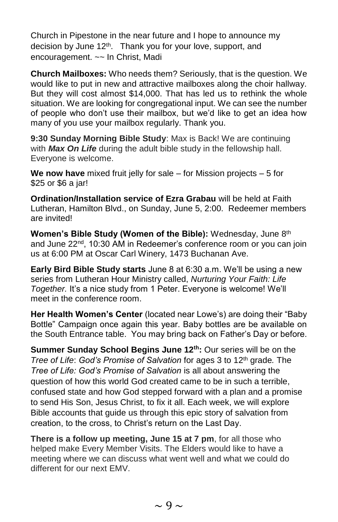Church in Pipestone in the near future and I hope to announce my decision by June 12<sup>th</sup>. Thank you for your love, support, and encouragement. ~~ In Christ, Madi

**Church Mailboxes:** Who needs them? Seriously, that is the question. We would like to put in new and attractive mailboxes along the choir hallway. But they will cost almost \$14,000. That has led us to rethink the whole situation. We are looking for congregational input. We can see the number of people who don't use their mailbox, but we'd like to get an idea how many of you use your mailbox regularly. Thank you.

**9:30 Sunday Morning Bible Study**: Max is Back! We are continuing with *Max On Life* during the adult bible study in the fellowship hall. Everyone is welcome.

**We now have** mixed fruit jelly for sale – for Mission projects – 5 for \$25 or \$6 a jar!

**Ordination/Installation service of Ezra Grabau** will be held at Faith Lutheran, Hamilton Blvd., on Sunday, June 5, 2:00. Redeemer members are invited!

**Women's Bible Study (Women of the Bible):** Wednesday, June 8th and June 22<sup>nd</sup>, 10:30 AM in Redeemer's conference room or you can join us at 6:00 PM at Oscar Carl Winery, 1473 Buchanan Ave.

**Early Bird Bible Study starts** June 8 at 6:30 a.m. We'll be using a new series from Lutheran Hour Ministry called, *Nurturing Your Faith: Life Together.* It's a nice study from 1 Peter. Everyone is welcome! We'll meet in the conference room.

**Her Health Women's Center** (located near Lowe's) are doing their "Baby Bottle" Campaign once again this year. Baby bottles are be available on the South Entrance table. You may bring back on Father's Day or before.

**Summer Sunday School Begins June 12th:** Our series will be on the *Tree of Life*: *God's Promise of Salvation* for ages 3 to 12th grade*.* The *Tree of Life: God's Promise of Salvation* is all about answering the question of how this world God created came to be in such a terrible, confused state and how God stepped forward with a plan and a promise to send His Son, Jesus Christ, to fix it all. Each week, we will explore Bible accounts that guide us through this epic story of salvation from creation, to the cross, to Christ's return on the Last Day.

**There is a follow up meeting, June 15 at 7 pm**, for all those who helped make Every Member Visits. The Elders would like to have a meeting where we can discuss what went well and what we could do different for our next EMV.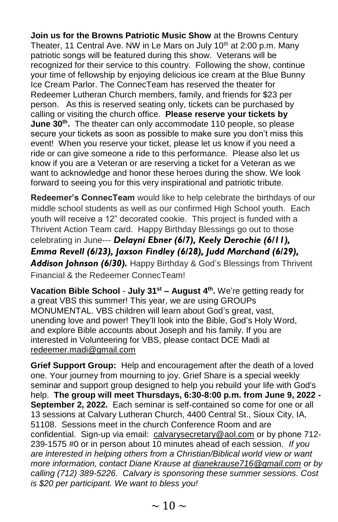**Join us for the Browns Patriotic Music Show** at the Browns Century Theater, 11 Central Ave. NW in Le Mars on July 10<sup>th</sup> at 2:00 p.m. Many patriotic songs will be featured during this show. Veterans will be recognized for their service to this country. Following the show, continue your time of fellowship by enjoying delicious ice cream at the Blue Bunny Ice Cream Parlor. The ConnecTeam has reserved the theater for Redeemer Lutheran Church members, family, and friends for \$23 per person. As this is reserved seating only, tickets can be purchased by calling or visiting the church office. **Please reserve your tickets by June 30th .** The theater can only accommodate 110 people, so please secure your tickets as soon as possible to make sure you don't miss this event! When you reserve your ticket, please let us know if you need a ride or can give someone a ride to this performance. Please also let us know if you are a Veteran or are reserving a ticket for a Veteran as we want to acknowledge and honor these heroes during the show. We look forward to seeing you for this very inspirational and patriotic tribute.

**Redeemer's ConnecTeam** would like to help celebrate the birthdays of our middle school students as well as our confirmed High School youth. Each youth will receive a 12" decorated cookie. This project is funded with a Thrivent Action Team card. Happy Birthday Blessings go out to those celebrating in June--- *Delayni Ebner (6/7), Keely Derochie (6/11), Emma Revell (6/23), Jaxson Findley (6/28), Judd Marchand (6/29), Addison Johnson (6/30).* Happy Birthday & God's Blessings from Thrivent Financial & the Redeemer ConnecTeam!

**Vacation Bible School** - **July 31st – August 4th .** We're getting ready for a great VBS this summer! This year, we are using GROUPs MONUMENTAL. VBS children will learn about God's great, vast, unending love and power! They'll look into the Bible, God's Holy Word, and explore Bible accounts about Joseph and his family. If you are interested in Volunteering for VBS, please contact DCE Madi at [redeemer.madi@gmail.com](mailto:redeemer.madi@gmail.com)

**Grief Support Group:** Help and encouragement after the death of a loved one. Your journey from mourning to joy. Grief Share is a special weekly seminar and support group designed to help you rebuild your life with God's help. **The group will meet Thursdays, 6:30-8:00 p.m. from June 9, 2022 - September 2, 2022.** Each seminar is self-contained so come for one or all 13 sessions at Calvary Lutheran Church, 4400 Central St., Sioux City, IA, 51108. Sessions meet in the church Conference Room and are confidential. Sign-up via email: [calvarysecretary@aol.com](mailto:calvarysecretary@aol.com) or by phone 712- 239-1575 #0 or in person about 10 minutes ahead of each session. *If you are interested in helping others from a Christian/Biblical world view or want more information, contact Diane Krause at [dianekrause716@gmail.com](mailto:dianekrause716@gmail.com) or by calling (712) 389-5226. Calvary is sponsoring these summer sessions. Cost is \$20 per participant. We want to bless you!*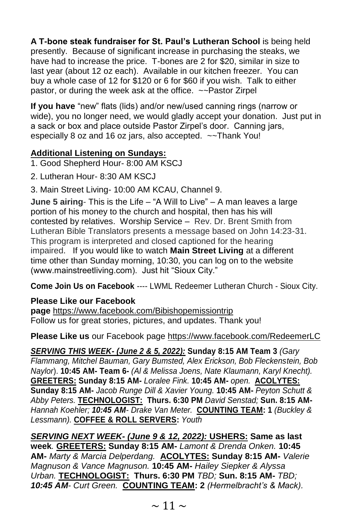**A T-bone steak fundraiser for St. Paul's Lutheran School** is being held presently. Because of significant increase in purchasing the steaks, we have had to increase the price. T-bones are 2 for \$20, similar in size to last year (about 12 oz each). Available in our kitchen freezer. You can buy a whole case of 12 for \$120 or 6 for \$60 if you wish. Talk to either pastor, or during the week ask at the office. ~~Pastor Zirpel

**If you have** "new" flats (lids) and/or new/used canning rings (narrow or wide), you no longer need, we would gladly accept your donation. Just put in a sack or box and place outside Pastor Zirpel's door. Canning jars, especially 8 oz and 16 oz jars, also accepted. ~~Thank You!

#### **Additional Listening on Sundays:**

1. Good Shepherd Hour- 8:00 AM KSCJ

- 2. Lutheran Hour- 8:30 AM KSCJ
- 3. Main Street Living- 10:00 AM KCAU, Channel 9.

**June 5 airing**- This is the Life – "A Will to Live" – A man leaves a large portion of his money to the church and hospital, then has his will contested by relatives. Worship Service – Rev. Dr. Brent Smith from Lutheran Bible Translators presents a message based on John 14:23-31. This program is interpreted and closed captioned for the hearing impaired. If you would like to watch **Main Street Living** at a different time other than Sunday morning, 10:30, you can log on to the website (www.mainstreetliving.com). Just hit "Sioux City."

**Come Join Us on Facebook** ---- LWML Redeemer Lutheran Church - Sioux City.

## **Please Like our Facebook**

**page** [https://www.facebook.com/Bibishopemissiontrip](https://www.facebook.com/Bibishopemissiontrip/) Follow us for great stories, pictures, and updates. Thank you!

**Please Like us** our Facebook page [https://www.facebook.com/RedeemerLC](https://www.facebook.com/RedeemerLC/) 

*SERVING THIS WEEK- (June 2 & 5, 2022):* **Sunday 8:15 AM Team 3** *(Gary Flammang, Mitchel Bauman, Gary Bumsted, Alex Erickson, Bob Fleckenstein, Bob Naylor*). **10:45 AM- Team 6-** *(Al & Melissa Joens, Nate Klaumann, Karyl Knecht).* **GREETERS: Sunday 8:15 AM-** *Loralee Fink.* **10:45 AM-** *open.* **ACOLYTES: Sunday 8:15 AM-** *Jacob Runge Dill & Xavier Young.* **10:45 AM-** *Peyton Schutt & Abby Peters.* **TECHNOLOGIST:****Thurs. 6:30 PM** *David Senstad;* **Sun. 8:15 AM-***Hannah Koehler; 10:45 AM- Drake Van Meter.* **COUNTING TEAM: 1** *(Buckley & Lessmann).* **COFFEE & ROLL SERVERS:** *Youth*

*SERVING NEXT WEEK- (June 9 & 12, 2022):* **USHERS: Same as last week***.* **GREETERS: Sunday 8:15 AM-** *Lamont & Drenda Onken.* **10:45 AM-** *Marty & Marcia Delperdang.* **ACOLYTES: Sunday 8:15 AM-** *Valerie Magnuson & Vance Magnuson.* **10:45 AM-** *Hailey Siepker & Alyssa Urban.* **TECHNOLOGIST:****Thurs. 6:30 PM** *TBD;* **Sun. 8:15 AM-** *TBD; 10:45 AM- Curt Green.* **COUNTING TEAM: 2** *(Hermelbracht's & Mack).*